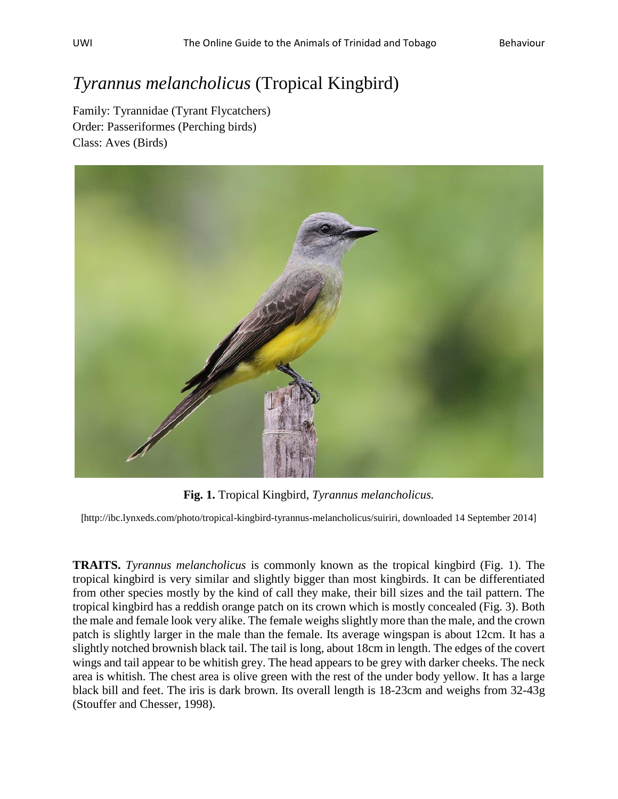## *Tyrannus melancholicus* (Tropical Kingbird)

Family: Tyrannidae (Tyrant Flycatchers) Order: Passeriformes (Perching birds) Class: Aves (Birds)



**Fig. 1.** Tropical Kingbird, *Tyrannus melancholicus.*

[[http://ibc.lynxeds.com/photo/tropical-kingbird-tyrannus-melancholicus/suiriri,](http://ibc.lynxeds.com/photo/tropical-kingbird-tyrannus-melancholicus/suiriri) downloaded 14 September 2014]

**TRAITS.** *Tyrannus melancholicus* is commonly known as the tropical kingbird (Fig. 1). The tropical kingbird is very similar and slightly bigger than most kingbirds. It can be differentiated from other species mostly by the kind of call they make, their bill sizes and the tail pattern. The tropical kingbird has a reddish orange patch on its crown which is mostly concealed (Fig. 3). Both the male and female look very alike. The female weighs slightly more than the male, and the crown patch is slightly larger in the male than the female. Its average wingspan is about 12cm. It has a slightly notched brownish black tail. The tail is long, about 18cm in length. The edges of the covert wings and tail appear to be whitish grey. The head appears to be grey with darker cheeks. The neck area is whitish. The chest area is olive green with the rest of the under body yellow. It has a large black bill and feet. The iris is dark brown. Its overall length is 18-23cm and weighs from 32-43g (Stouffer and Chesser, 1998).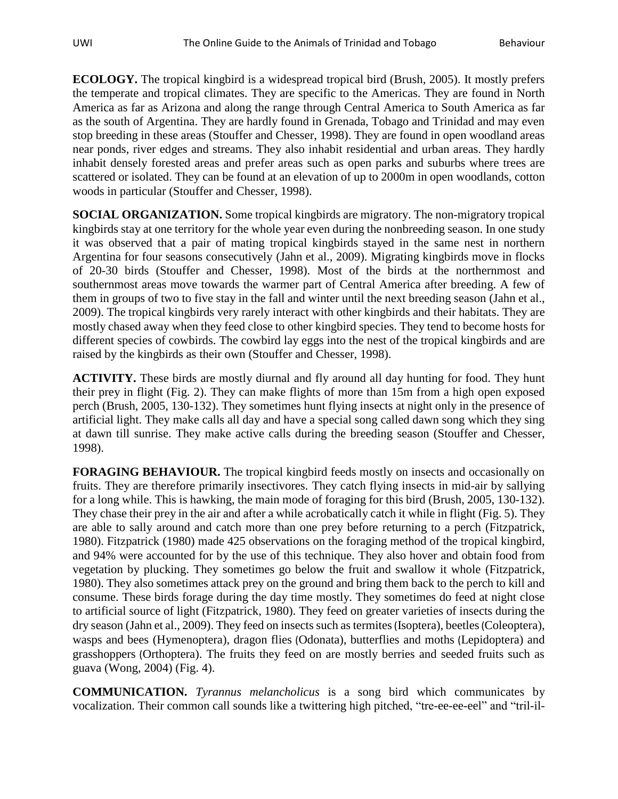**ECOLOGY.** The tropical kingbird is a widespread tropical bird (Brush, 2005). It mostly prefers the temperate and tropical climates. They are specific to the Americas. They are found in North America as far as Arizona and along the range through Central America to South America as far as the south of Argentina. They are hardly found in Grenada, Tobago and Trinidad and may even stop breeding in these areas (Stouffer and Chesser, 1998). They are found in open woodland areas near ponds, river edges and streams. They also inhabit residential and urban areas. They hardly inhabit densely forested areas and prefer areas such as open parks and suburbs where trees are scattered or isolated. They can be found at an elevation of up to 2000m in open woodlands, cotton woods in particular (Stouffer and Chesser, 1998).

**SOCIAL ORGANIZATION.** Some tropical kingbirds are migratory. The non-migratory tropical kingbirds stay at one territory for the whole year even during the nonbreeding season. In one study it was observed that a pair of mating tropical kingbirds stayed in the same nest in northern Argentina for four seasons consecutively (Jahn et al., 2009). Migrating kingbirds move in flocks of 20-30 birds (Stouffer and Chesser, 1998). Most of the birds at the northernmost and southernmost areas move towards the warmer part of Central America after breeding. A few of them in groups of two to five stay in the fall and winter until the next breeding season (Jahn et al., 2009). The tropical kingbirds very rarely interact with other kingbirds and their habitats. They are mostly chased away when they feed close to other kingbird species. They tend to become hosts for different species of cowbirds. The cowbird lay eggs into the nest of the tropical kingbirds and are raised by the kingbirds as their own (Stouffer and Chesser, 1998).

**ACTIVITY.** These birds are mostly diurnal and fly around all day hunting for food. They hunt their prey in flight (Fig. 2). They can make flights of more than 15m from a high open exposed perch (Brush, 2005, 130-132). They sometimes hunt flying insects at night only in the presence of artificial light. They make calls all day and have a special song called dawn song which they sing at dawn till sunrise. They make active calls during the breeding season (Stouffer and Chesser, 1998).

**FORAGING BEHAVIOUR.** The tropical kingbird feeds mostly on insects and occasionally on fruits. They are therefore primarily insectivores. They catch flying insects in mid-air by sallying for a long while. This is hawking, the main mode of foraging for this bird (Brush, 2005, 130-132). They chase their prey in the air and after a while acrobatically catch it while in flight (Fig. 5). They are able to sally around and catch more than one prey before returning to a perch (Fitzpatrick, 1980). Fitzpatrick (1980) made 425 observations on the foraging method of the tropical kingbird, and 94% were accounted for by the use of this technique. They also hover and obtain food from vegetation by plucking. They sometimes go below the fruit and swallow it whole (Fitzpatrick, 1980). They also sometimes attack prey on the ground and bring them back to the perch to kill and consume. These birds forage during the day time mostly. They sometimes do feed at night close to artificial source of light (Fitzpatrick, 1980). They feed on greater varieties of insects during the dry season (Jahn et al., 2009). They feed on insects such as termites(Isoptera), beetles(Coleoptera), wasps and bees (Hymenoptera), dragon flies (Odonata), butterflies and moths (Lepidoptera) and grasshoppers (Orthoptera). The fruits they feed on are mostly berries and seeded fruits such as guava (Wong, 2004) (Fig. 4).

**COMMUNICATION.** *Tyrannus melancholicus* is a song bird which communicates by vocalization. Their common call sounds like a twittering high pitched, "tre-ee-ee-eel" and "tril-il-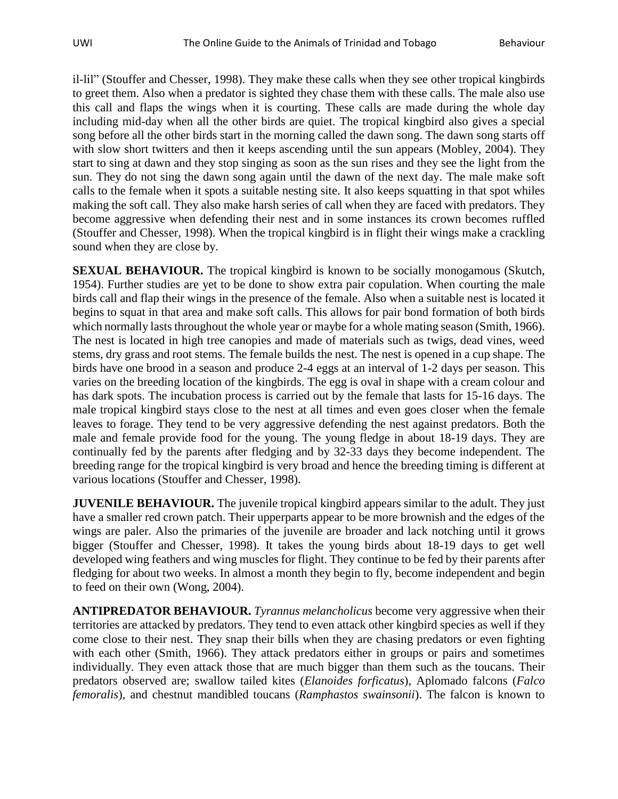il-lil" (Stouffer and Chesser, 1998). They make these calls when they see other tropical kingbirds to greet them. Also when a predator is sighted they chase them with these calls. The male also use this call and flaps the wings when it is courting. These calls are made during the whole day including mid-day when all the other birds are quiet. The tropical kingbird also gives a special song before all the other birds start in the morning called the dawn song. The dawn song starts off with slow short twitters and then it keeps ascending until the sun appears (Mobley, 2004). They start to sing at dawn and they stop singing as soon as the sun rises and they see the light from the sun. They do not sing the dawn song again until the dawn of the next day. The male make soft calls to the female when it spots a suitable nesting site. It also keeps squatting in that spot whiles making the soft call. They also make harsh series of call when they are faced with predators. They become aggressive when defending their nest and in some instances its crown becomes ruffled (Stouffer and Chesser, 1998). When the tropical kingbird is in flight their wings make a crackling sound when they are close by.

**SEXUAL BEHAVIOUR.** The tropical kingbird is known to be socially monogamous (Skutch, 1954). Further studies are yet to be done to show extra pair copulation. When courting the male birds call and flap their wings in the presence of the female. Also when a suitable nest is located it begins to squat in that area and make soft calls. This allows for pair bond formation of both birds which normally lasts throughout the whole year or maybe for a whole mating season (Smith, 1966). The nest is located in high tree canopies and made of materials such as twigs, dead vines, weed stems, dry grass and root stems. The female builds the nest. The nest is opened in a cup shape. The birds have one brood in a season and produce 2-4 eggs at an interval of 1-2 days per season. This varies on the breeding location of the kingbirds. The egg is oval in shape with a cream colour and has dark spots. The incubation process is carried out by the female that lasts for 15-16 days. The male tropical kingbird stays close to the nest at all times and even goes closer when the female leaves to forage. They tend to be very aggressive defending the nest against predators. Both the male and female provide food for the young. The young fledge in about 18-19 days. They are continually fed by the parents after fledging and by 32-33 days they become independent. The breeding range for the tropical kingbird is very broad and hence the breeding timing is different at various locations (Stouffer and Chesser, 1998).

**JUVENILE BEHAVIOUR.** The juvenile tropical kingbird appears similar to the adult. They just have a smaller red crown patch. Their upperparts appear to be more brownish and the edges of the wings are paler. Also the primaries of the juvenile are broader and lack notching until it grows bigger (Stouffer and Chesser, 1998). It takes the young birds about 18-19 days to get well developed wing feathers and wing muscles for flight. They continue to be fed by their parents after fledging for about two weeks. In almost a month they begin to fly, become independent and begin to feed on their own (Wong, 2004).

**ANTIPREDATOR BEHAVIOUR.** *Tyrannus melancholicus* become very aggressive when their territories are attacked by predators. They tend to even attack other kingbird species as well if they come close to their nest. They snap their bills when they are chasing predators or even fighting with each other (Smith, 1966). They attack predators either in groups or pairs and sometimes individually. They even attack those that are much bigger than them such as the toucans. Their predators observed are; swallow tailed kites (*Elanoides forficatus*), Aplomado falcons (*Falco femoralis*), and chestnut mandibled toucans (*Ramphastos swainsonii*). The falcon is known to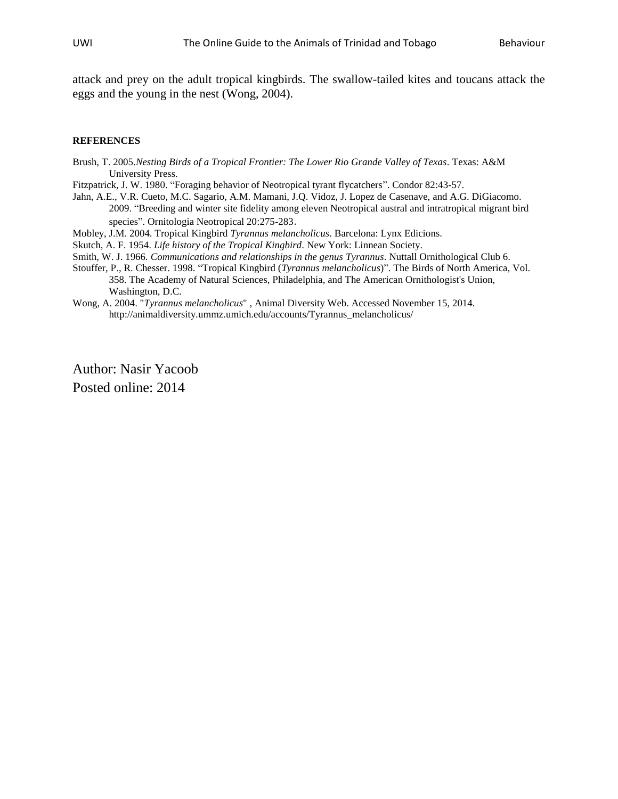attack and prey on the adult tropical kingbirds. The swallow-tailed kites and toucans attack the eggs and the young in the nest (Wong, 2004).

## **REFERENCES**

- Brush, T. 2005.*Nesting Birds of a Tropical Frontier: The Lower Rio Grande Valley of Texas*. Texas: A&M University Press.
- Fitzpatrick, J. W. 1980. "Foraging behavior of Neotropical tyrant flycatchers". Condor 82:43-57.
- Jahn, A.E., V.R. Cueto, M.C. Sagario, A.M. Mamani, J.Q. Vidoz, J. Lopez de Casenave, and A.G. DiGiacomo. 2009. "Breeding and winter site fidelity among eleven Neotropical austral and intratropical migrant bird species". Ornitologia Neotropical 20:275-283.
- Mobley, J.M. 2004. Tropical Kingbird *Tyrannus melancholicus*. Barcelona: Lynx Edicions.
- Skutch, A. F. 1954. *Life history of the Tropical Kingbird*. New York: Linnean Society.
- Smith, W. J. 1966*. Communications and relationships in the genus Tyrannus*. Nuttall Ornithological Club 6.
- Stouffer, P., R. Chesser. 1998. "Tropical Kingbird (*Tyrannus melancholicus*)". The Birds of North America, Vol. 358. The Academy of Natural Sciences, Philadelphia, and The American Ornithologist's Union, Washington, D.C.
- Wong, A. 2004. "*Tyrannus melancholicus*" , Animal Diversity Web. Accessed November 15, 2014. http://animaldiversity.ummz.umich.edu/accounts/Tyrannus\_melancholicus/

Author: Nasir Yacoob Posted online: 2014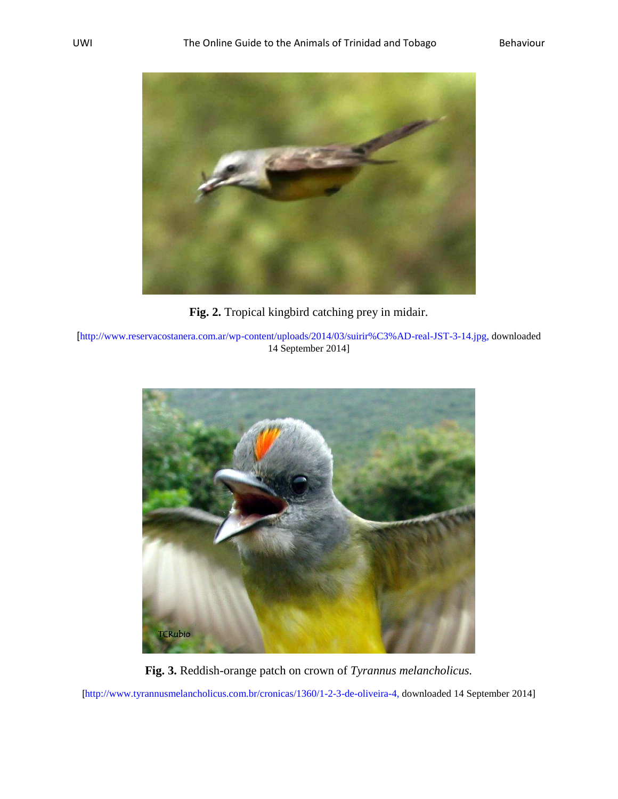

**Fig. 2.** Tropical kingbird catching prey in midair.

[[http://www.reservacostanera.com.ar/wp-content/uploads/2014/03/suirir%C3%AD-real-JST-3-14.jpg,](http://www.reservacostanera.com.ar/wp-content/uploads/2014/03/suirir%C3%AD-real-JST-3-14.jpg) downloaded 14 September 2014]



**Fig. 3.** Reddish-orange patch on crown of *Tyrannus melancholicus.*

[[http://www.tyrannusmelancholicus.com.br/cronicas/1360/1-2-3-de-oliveira-4,](http://www.tyrannusmelancholicus.com.br/cronicas/1360/1-2-3-de-oliveira-4) downloaded 14 September 2014]